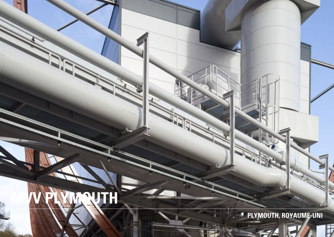## **NUTH** . PLYMOUTH, ROYAUME-UNI

F

 $\leq$   $\leq$ 

 $\mathbf{H}$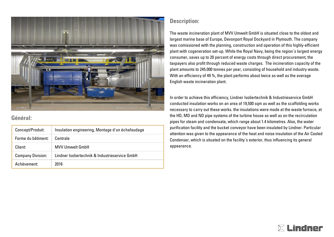

## **Général:**

| Concept/Produit:         | Insulation engineering, Montage d'un échafaudage |
|--------------------------|--------------------------------------------------|
| Forme du bâtiment:       | Centrale                                         |
| Client:                  | <b>MVV Umwelt GmbH</b>                           |
| <b>Company Division:</b> | Lindner Isoliertechnik & Industrieservice GmbH   |
| Achèvement:              | 2016                                             |

## **Description:**

The waste incineration plant of MVV Umwelt GmbH is situated close to the oldest and largest marine base of Europe, Devonport Royal Dockyard in Plymouth. The company was comissioned with the planning, construction and operation of this highly-efficient plant with cogeneration set-up. While the Royal Navy, being the region´s largest energy consumer, saves up to 20 percent of energy costs through direct procurement, the taxpayers also profit through reduced waste charges. The incineration capacity of the plant amounts to 245.000 tonnes per year, consisting of household and industry waste. With an efficiency of 49 %, the plant performs about twice as well as the average English waste incineration plant.

In order to achieve this efficiency, Lindner Isoliertechnik & Industrieservice GmbH conducted insulation works on an area of 19,500 sqm as well as the scaffolding works necessary to carry out these works. the insulations were made at the waste furnace, at the HD, MD and ND pipe systems of the turbine house as well as on the recirculation pipes for steam and condensate, which range about 1.4 kilometres. Also, the water purification facility and the bucket conveyor have been insulated by Lindner. Particular attention was given to the appearance of the heat and noise insulation of the Air Cooled Condenser, which is situated on the facility´s exterior, thus influencing its general appearance.

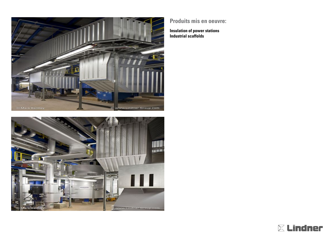



## **Produits mis en oeuvre:**

**Insulation of power stations Industrial scaffolds**

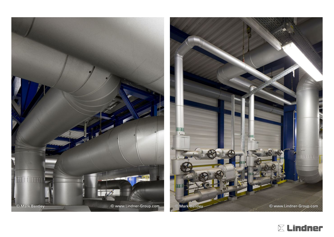

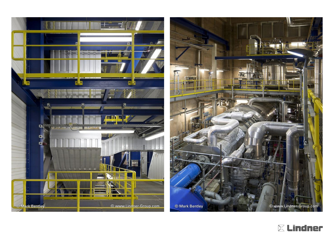